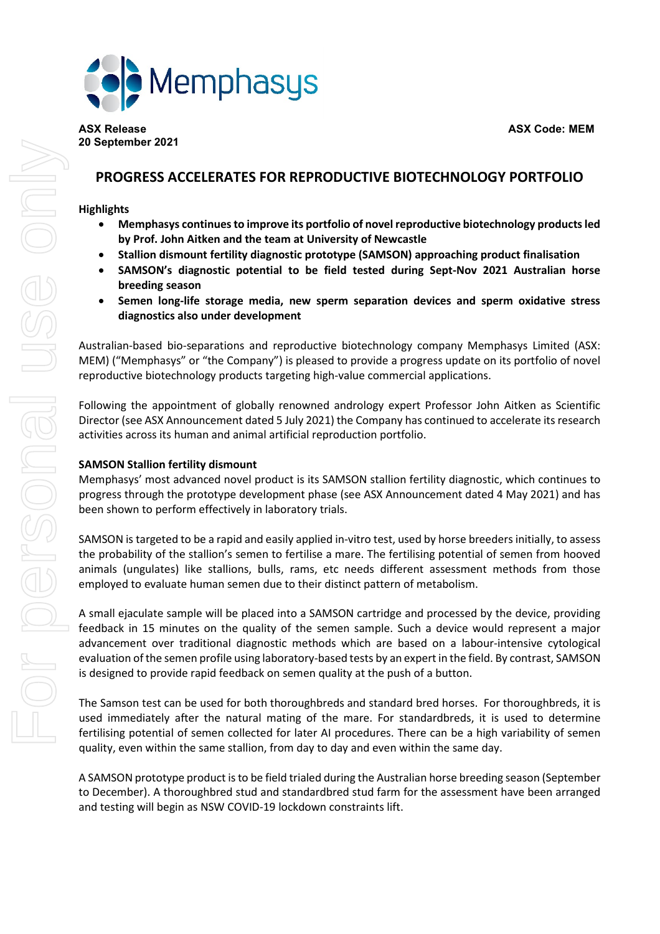

# **PROGRESS ACCELERATES FOR REPRODUCTIVE BIOTECHNOLOGY PORTFOLIO**

# **Highlights**

- **Memphasys continuesto improve its portfolio of novel reproductive biotechnology productsled by Prof. John Aitken and the team at University of Newcastle**
- **Stallion dismount fertility diagnostic prototype (SAMSON) approaching product finalisation**
- **SAMSON's diagnostic potential to be field tested during Sept-Nov 2021 Australian horse breeding season**
- **Semen long-life storage media, new sperm separation devices and sperm oxidative stress diagnostics also under development**

Australian-based bio-separations and reproductive biotechnology company Memphasys Limited (ASX: MEM) ("Memphasys" or "the Company") is pleased to provide a progress update on its portfolio of novel reproductive biotechnology products targeting high-value commercial applications.

Following the appointment of globally renowned andrology expert Professor John Aitken as Scientific Director (see ASX Announcement dated 5 July 2021) the Company has continued to accelerate its research activities across its human and animal artificial reproduction portfolio.

# **SAMSON Stallion fertility dismount**

Memphasys' most advanced novel product is its SAMSON stallion fertility diagnostic, which continues to progress through the prototype development phase (see ASX Announcement dated 4 May 2021) and has been shown to perform effectively in laboratory trials.

SAMSON is targeted to be a rapid and easily applied in-vitro test, used by horse breeders initially, to assess the probability of the stallion's semen to fertilise a mare. The fertilising potential of semen from hooved animals (ungulates) like stallions, bulls, rams, etc needs different assessment methods from those employed to evaluate human semen due to their distinct pattern of metabolism.

A small ejaculate sample will be placed into a SAMSON cartridge and processed by the device, providing feedback in 15 minutes on the quality of the semen sample. Such a device would represent a major advancement over traditional diagnostic methods which are based on a labour-intensive cytological evaluation ofthe semen profile using laboratory-based tests by an expert in the field. By contrast, SAMSON is designed to provide rapid feedback on semen quality at the push of a button.

The Samson test can be used for both thoroughbreds and standard bred horses. For thoroughbreds, it is used immediately after the natural mating of the mare. For standardbreds, it is used to determine fertilising potential of semen collected for later AI procedures. There can be a high variability of semen quality, even within the same stallion, from day to day and even within the same day.

A SAMSON prototype product isto be field trialed during the Australian horse breeding season (September to December). A thoroughbred stud and standardbred stud farm for the assessment have been arranged and testing will begin as NSW COVID-19 lockdown constraints lift.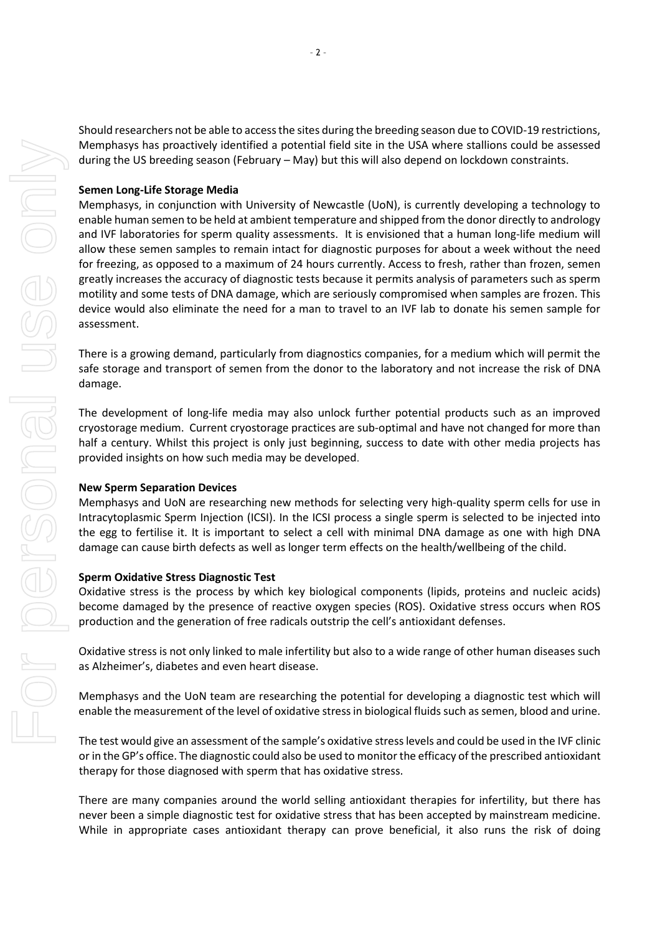Should researchers not be able to accessthe sites during the breeding season due to COVID-19 restrictions, Memphasys has proactively identified a potential field site in the USA where stallions could be assessed during the US breeding season (February – May) but this will also depend on lockdown constraints.

## **Semen Long-Life Storage Media**

Memphasys, in conjunction with University of Newcastle (UoN), is currently developing a technology to enable human semen to be held at ambient temperature and shipped from the donor directly to andrology and IVF laboratories for sperm quality assessments. It is envisioned that a human long-life medium will allow these semen samples to remain intact for diagnostic purposes for about a week without the need for freezing, as opposed to a maximum of 24 hours currently. Access to fresh, rather than frozen, semen greatly increases the accuracy of diagnostic tests because it permits analysis of parameters such as sperm motility and some tests of DNA damage, which are seriously compromised when samples are frozen. This device would also eliminate the need for a man to travel to an IVF lab to donate his semen sample for assessment.

There is a growing demand, particularly from diagnostics companies, for a medium which will permit the safe storage and transport of semen from the donor to the laboratory and not increase the risk of DNA damage.

The development of long-life media may also unlock further potential products such as an improved cryostorage medium. Current cryostorage practices are sub-optimal and have not changed for more than half a century. Whilst this project is only just beginning, success to date with other media projects has provided insights on how such media may be developed.

#### **New Sperm Separation Devices**

Memphasys and UoN are researching new methods for selecting very high-quality sperm cells for use in Intracytoplasmic Sperm Injection (ICSI). In the ICSI process a single sperm is selected to be injected into the egg to fertilise it. It is important to select a cell with minimal DNA damage as one with high DNA damage can cause birth defects as well as longer term effects on the health/wellbeing of the child.

### **Sperm Oxidative Stress Diagnostic Test**

Oxidative stress is the process by which key biological components (lipids, proteins and nucleic acids) become damaged by the presence of reactive oxygen species (ROS). Oxidative stress occurs when ROS production and the generation of free radicals outstrip the cell's antioxidant defenses.

Oxidative stress is not only linked to male infertility but also to a wide range of other human diseases such as Alzheimer's, diabetes and even heart disease.

Memphasys and the UoN team are researching the potential for developing a diagnostic test which will enable the measurement of the level of oxidative stress in biological fluids such as semen, blood and urine.

The test would give an assessment of the sample's oxidative stresslevels and could be used in the IVF clinic or in the GP's office. The diagnostic could also be used to monitorthe efficacy of the prescribed antioxidant therapy for those diagnosed with sperm that has oxidative stress.

There are many companies around the world selling antioxidant therapies for infertility, but there has never been a simple diagnostic test for oxidative stress that has been accepted by mainstream medicine. While in appropriate cases antioxidant therapy can prove beneficial, it also runs the risk of doing